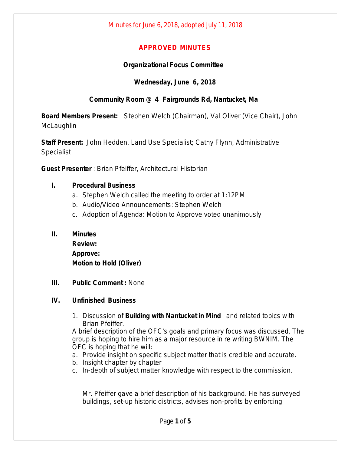# **APPROVED MINUTES**

# **Organizational Focus Committee**

# **Wednesday, June 6, 2018**

# **Community Room @ 4 Fairgrounds Rd, Nantucket, Ma**

**Board Members Present:** Stephen Welch (Chairman), Val Oliver (Vice Chair), John **McLaughlin** 

**Staff Present:** John Hedden, Land Use Specialist; Cathy Flynn, Administrative **Specialist** 

**Guest Presenter** : Brian Pfeiffer, Architectural Historian

### **I. Procedural Business**

- a. Stephen Welch called the meeting to order at 1:12PM
- b. Audio/Video Announcements: Stephen Welch
- c. Adoption of Agenda: Motion to Approve voted unanimously

### **II. Minutes**

**Review: Approve: Motion to Hold (Oliver)**

### **III. Public Comment :** None

### **IV. Unfinished Business**

1. Discussion of **Building with Nantucket in Mind** and related topics with Brian Pfeiffer.

A brief description of the OFC's goals and primary focus was discussed. The group is hoping to hire him as a major resource in re writing BWNIM. The OFC is hoping that he will:

- a. Provide insight on specific subject matter that is credible and accurate.
- b. Insight chapter by chapter
- c. In-depth of subject matter knowledge with respect to the commission.

Mr. Pfeiffer gave a brief description of his background. He has surveyed buildings, set-up historic districts, advises non-profits by enforcing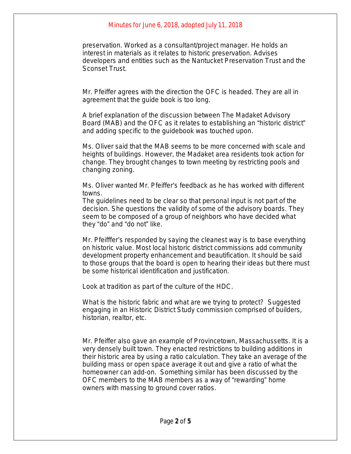# Minutes for June 6, 2018, adopted July 11, 2018

preservation. Worked as a consultant/project manager. He holds an interest in materials as it relates to historic preservation. Advises developers and entities such as the Nantucket Preservation Trust and the Sconset Trust.

Mr. Pfeiffer agrees with the direction the OFC is headed. They are all in agreement that the guide book is too long.

A brief explanation of the discussion between The Madaket Advisory Board (MAB) and the OFC as it relates to establishing an "historic district" and adding specific to the guidebook was touched upon.

Ms. Oliver said that the MAB seems to be more concerned with scale and heights of buildings. However, the Madaket area residents took action for change. They brought changes to town meeting by restricting pools and changing zoning.

Ms. Oliver wanted Mr. Pfeiffer's feedback as he has worked with different towns.

The guidelines need to be clear so that personal input is not part of the decision. She questions the validity of some of the advisory boards. They seem to be composed of a group of neighbors who have decided what they "do" and "do not" like.

Mr. Pfeifffer's responded by saying the cleanest way is to base everything on historic value. Most local historic district commissions add community development property enhancement and beautification. It should be said to those groups that the board is open to hearing their ideas but there must be some historical identification and justification.

Look at tradition as part of the culture of the HDC.

What is the historic fabric and what are we trying to protect? Suggested engaging in an Historic District Study commission comprised of builders, historian, realtor, etc.

Mr. Pfeiffer also gave an example of Provincetown, Massachussetts. It is a very densely built town. They enacted restrictions to building additions in their historic area by using a ratio calculation. They take an average of the building mass or open space average it out and give a ratio of what the homeowner can add-on. Something similar has been discussed by the OFC members to the MAB members as a way of "rewarding" home owners with massing to ground cover ratios.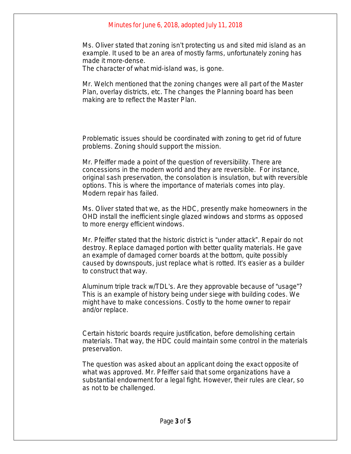### Minutes for June 6, 2018, adopted July 11, 2018

Ms. Oliver stated that zoning isn't protecting us and sited mid island as an example. It used to be an area of mostly farms, unfortunately zoning has made it more-dense.

The character of what mid-island was, is gone.

Mr. Welch mentioned that the zoning changes were all part of the Master Plan, overlay districts, etc. The changes the Planning board has been making are to reflect the Master Plan.

Problematic issues should be coordinated with zoning to get rid of future problems. Zoning should support the mission.

Mr. Pfeiffer made a point of the question of reversibility. There are concessions in the modern world and they are reversible. For instance, original sash preservation, the consolation is insulation, but with reversible options. This is where the importance of materials comes into play. Modern repair has failed.

Ms. Oliver stated that we, as the HDC, presently make homeowners in the OHD install the inefficient single glazed windows and storms as opposed to more energy efficient windows.

Mr. Pfeiffer stated that the historic district is "under attack". Repair do not destroy. Replace damaged portion with better quality materials. He gave an example of damaged corner boards at the bottom, quite possibly caused by downspouts, just replace what is rotted. It's easier as a builder to construct that way.

Aluminum triple track w/TDL's. Are they approvable because of "usage"? This is an example of history being under siege with building codes. We might have to make concessions. Costly to the home owner to repair and/or replace.

Certain historic boards require justification, before demolishing certain materials. That way, the HDC could maintain some control in the materials preservation.

The question was asked about an applicant doing the exact opposite of what was approved. Mr. Pfeiffer said that some organizations have a substantial endowment for a legal fight. However, their rules are clear, so as not to be challenged.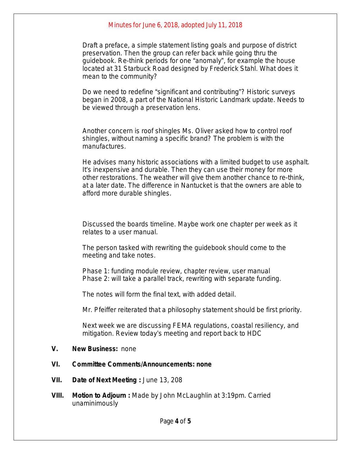#### Minutes for June 6, 2018, adopted July 11, 2018

Draft a preface, a simple statement listing goals and purpose of district preservation. Then the group can refer back while going thru the guidebook. Re-think periods for one "anomaly", for example the house located at 31 Starbuck Road designed by Frederick Stahl. What does it mean to the community?

Do we need to redefine "significant and contributing"? Historic surveys began in 2008, a part of the National Historic Landmark update. Needs to be viewed through a preservation lens.

Another concern is roof shingles Ms. Oliver asked how to control roof shingles, without naming a specific brand? The problem is with the manufactures.

He advises many historic associations with a limited budget to use asphalt. It's inexpensive and durable. Then they can use their money for more other restorations. The weather will give them another chance to re-think, at a later date. The difference in Nantucket is that the owners are able to afford more durable shingles.

Discussed the boards timeline. Maybe work one chapter per week as it relates to a user manual.

The person tasked with rewriting the guidebook should come to the meeting and take notes.

Phase 1: funding module review, chapter review, user manual Phase 2: will take a parallel track, rewriting with separate funding.

The notes will form the final text, with added detail.

Mr. Pfeiffer reiterated that a philosophy statement should be first priority.

Next week we are discussing FEMA regulations, coastal resiliency, and mitigation. Review today's meeting and report back to HDC

**V. New Business:** none

#### **VI. Committee Comments/Announcements: none**

- **VII. Date of Next Meeting :** June 13, 208
- **VIII. Motion to Adjourn :** Made by John McLaughlin at 3:19pm. Carried unaminimously